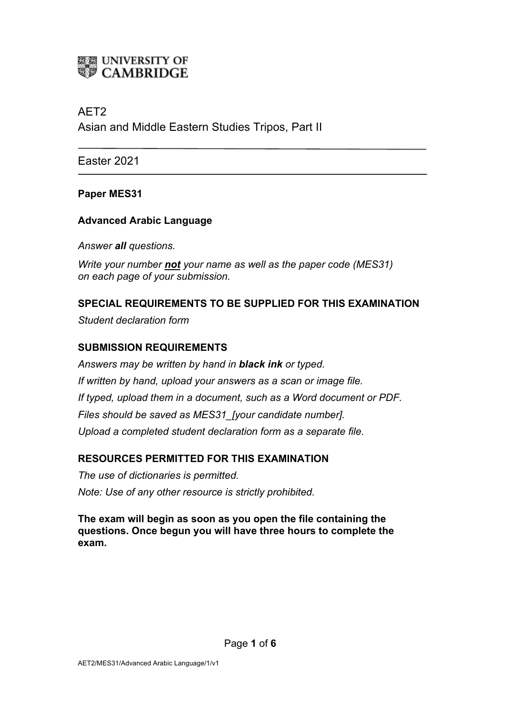# **ELE UNIVERSITY OF<br>WE CAMBRIDGE**

## AET2

Asian and Middle Eastern Studies Tripos, Part II

Easter 2021

### **Paper MES31**

### **Advanced Arabic Language**

*Answer all questions.*

*Write your number not your name as well as the paper code (MES31) on each page of your submission.*

### **SPECIAL REQUIREMENTS TO BE SUPPLIED FOR THIS EXAMINATION**

*Student declaration form*

### **SUBMISSION REQUIREMENTS**

*Answers may be written by hand in black ink or typed. If written by hand, upload your answers as a scan or image file. If typed, upload them in a document, such as a Word document or PDF. Files should be saved as MES31\_[your candidate number]. Upload a completed student declaration form as a separate file.*

### **RESOURCES PERMITTED FOR THIS EXAMINATION**

*The use of dictionaries is permitted. Note: Use of any other resource is strictly prohibited.*

**The exam will begin as soon as you open the file containing the questions. Once begun you will have three hours to complete the exam.**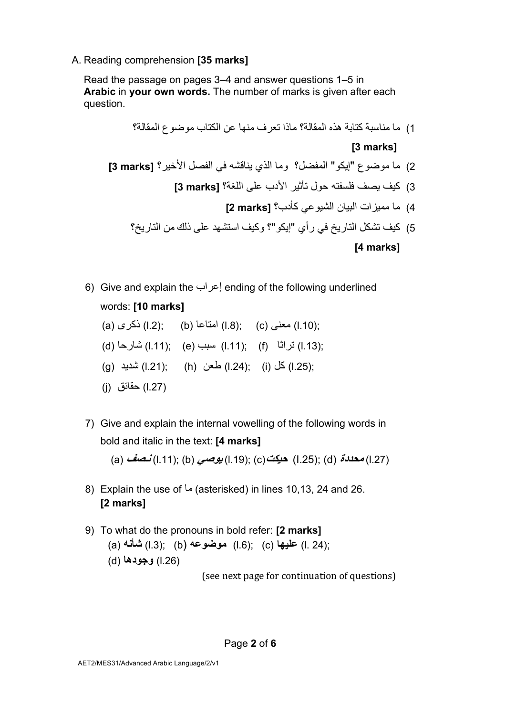A. Reading comprehension **[35 marks]**

Read the passage on pages 3–4 and answer questions 1–5 in **Arabic** in **your own words.** The number of marks is given after each question.

- 1) ما مناسبة كتابة هذه المقالة؟ ماذا تعر ف منها عن الكتاب مو ضو ع المقالة؟ **[3 marks]** 2) ما موضوع "إيكو" المفضل؟ وما الذي يناقشه في الفصل الأخير ؟ **[3 marks ]** 3) كيف يصف فلسفته حول تأثير الأدب على اللغة؟ [3 **marks**] 4) ام نایبلا تازیمم يعویشلا كأ ؟بد **[marks 2[** 5) كيف نشكل التار يخ في ر أي "إيكو "؟ وكيف استشهد على ذلك من التار يخ؟ **[4 marks]**
- 6) Give and explain the بارعإ ending of the following underlined words: **[10 marks]**

(a) ىركذ) l.2); (b) اعاتما) l.8); (c) ىنعم) l.10); (d) احراش) l.11); (e) ببس) l.11); (f) ا ثارت) l.13); (g) دیدش) l.21); (h) نعط) l.24); (i) لك) l.25); (j) قئاقح) l.27)

7) Give and explain the internal vowelling of the following words in bold and italic in the text: **[4 marks]**

(a) **فصـن**) l.11); (b) **يصوی**) l.19); (c) **تكیح**) I.25); (d) **ةددحم**) l.27)

- 8) Explain the use of  $\omega$  (asterisked) in lines 10,13, 24 and 26. **[2 marks]**
- 9) To what do the pronouns in bold refer: **[2 marks]** (a) **ھنأش**) l.3); (b) **ھعوضوم**) l.6); (c) **اھیلع**) l. 24); (.26l (**دوجو اھ** (d(

(see next page for continuation of questions)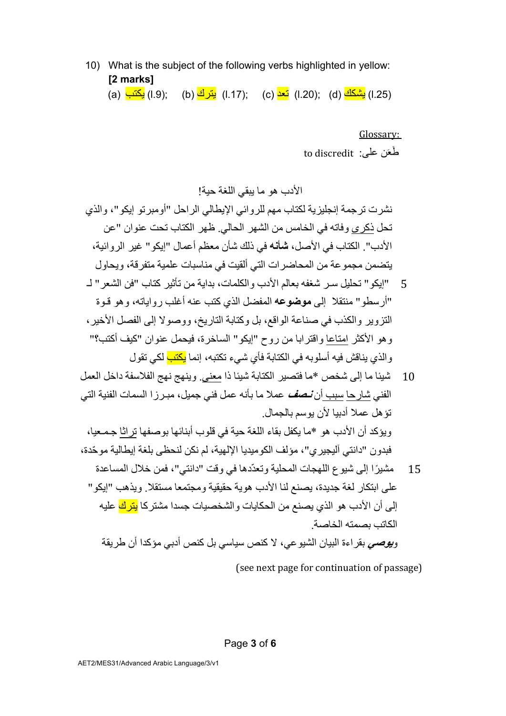10) What is the subject of the following verbs highlighted in yellow: **[2 marks]**

(a) بَ<mark>شكك (l.2); (c) كعد</mark> (l.20); (c) كرتی) (l.25) بَيْنكك (a) بَاست) (a) (l.9); (d) بَيْنَ (a) in.

Glossary: to discredit : خَعَن علي

الأدب هو ما يبقى اللغة حية!

نشر ت تر جمة إنجلبز بـة لكتاب مـهم للر و ائـي الابطـالـي الر احل "أو مبر تو إبكو "، و الذي تحل ذكر ى و فاته في الخامس من الشهر الحالي ظهر الكتاب تحت عنوان "عن الأدب". الكتاب في الأصل، **شأنه** في ذلك شأن معظم أعمال "ابكو " غبر الر وائية، بتضمن مجمو عة من المحاضر ات التي ألقبت في مناسبات علمبة متفر قة، و بحاو ل

- 5 "ايكو " تحليل سـر شغفه بعالم الأدب و الكلمات، بداية من تأثير كتاب "فن الشعر " لــ "أر سطو " منتقلا إلى **موضوعه** المفضل الذي كتب عنه أغلب ر و اياته، و هو قـوة التز و ير و الكذب في صناعة الو اقع، بل و كتابة التار يخ، و و صو لا إلى الفصل الأخير ، وهو الأكثر امتاعا واقترابا من روح "إيكو" الساخرة، فيحمل عنوان "كيف أكتب؟" والذي يناقش فيه أسلوبه في الكتابة فأي شيء تكتبه، إنما <mark>يكتب</mark> لكي تقول
- 10 أئسينًا ما إلى شخص \*ما فتصير الكتابة شيئا ذا معنى. وينهج نهج الفلاسفة داخل العمل الفني شار حا سبب أن **نـصف** عملا ما بأنه عمل فني جميل، مبـر ز ا السمات الفنية التي تؤهل عملا أدبيا لأن يوسم بالجمال. و يؤكد أن الأدب هو \*ما يكفل بقاء اللغة حية في قلوب أبنائها بوصفها تر اثا جـمـعيا،
- فيدو ن "دانتي آليجير ي"، مؤلف الكو ميديا الإلهية، لم نكن لنحظي بلغة إيطالية مو حّدة، 15 ٪ مشيرًا إلى شيوع اللهجات المحلية وتعدّدها في وقت "دانتي"، فمن خلال المساعدة على ابتكار لغة جديدة، يصنع لنا الأدب هوية حقيقية و مجتمعا مستقلا. و يذهب "إيكو " إلى أن الأدب هو الذي يصنع من الحكايات والشخصيات جسدا مشتر كا <mark>يترك</mark> عليه الكاتب بصمته الخاصبة. و**يوصى** بقراءة البيان الشيوعي، لا كنص سياسي بل كنص أدبي مؤكدا أن طريقة

(see next page for continuation of passage)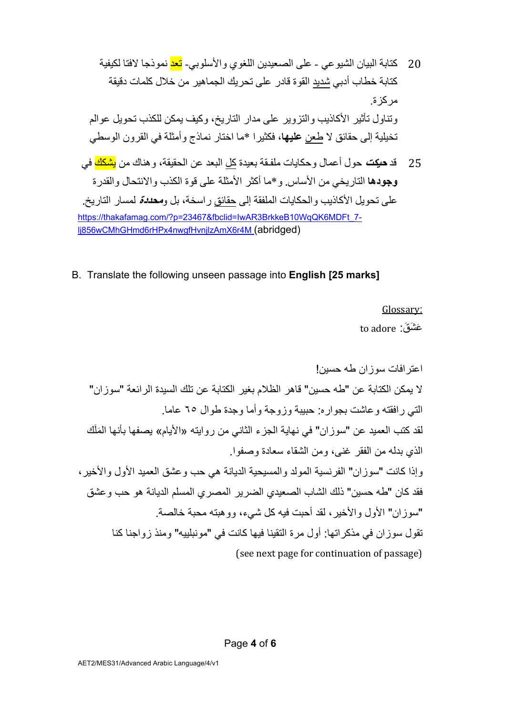20 ةباتك نایبلا يعویشلا - ىلع نیدیعصلا يوغللا يبولسلأاو - دعت اجذومن اتفلا ةیفیكل ةباتك خ باط يبدأ دیدش ةوقلا رداق لع ى كیرحت ریھامجلا نم للاخ تاملك ةقیقد ةزكرم . لوانتو ریثأت بیذاكلأا ریوزتلاو ىلع رادم ،خیراتلا فیكو نكمی بذكلل لیوحت ملاوع ةیلیخت ىلإ قئاقح لا نعط **اھیلع** ، اریثكف \* ام ا راتخ جذامن أو لثم ة يف نورقلا يطسولا 25 دق **تكیح** لوح لامعأ و تایاكح ةقـفلم ةدیعب لك دعبلا نع ةقیقحلا ، كانھو نم ككشی يف

**وجودها** التار يخي من الأساس و \*ما أكثر الأمثلة على قو ة الكذب و الانتحال و القدر ة علم تحويل الأكاذيب و الحكايات الملفقة إلى حقائق ر اسخة، بل و**مح***ددة* لمسار التار يخ https://thakafamag.com/?p=23467&fbclid=IwAR3BrkkeB10WqQK6MDFt\_7lj856wCMhGHmd6rHPx4nwgfHvnjlzAmX6r4M (abridged)

B. Translate the following unseen passage into **English [25 marks]**

Glossary:

to adore : عَشَق

اعتر افات سوز ان طه حسین! لا يمكن الكتابة عن "طه حسين" قاهر الظلام بغير الكتابة عن تلك السيدة الرائعة "سوزان" التبي رافقته وعاشت بجواره: حبيبة وزوجة وأما وجدة طوال ٦٥ عاما. لقد كتب العميد عن "سوز ان" في نهاية الجزء الثاني من روايته «الأيام» يصفها بأنها المَلَك الذي بدله من الفقر غنبي، ومن الشقاء سعادة وصفو ا. وإذا كانت "سوز إن" الفر نسية المولد والمسيحية الديانة هي حب وعشق العميد الأول والأخير ، فقد كان "طه حسين" ذلك الشاب الصعيدي الضرير المصري المسلم الديانة هو حب وعشق "سوز ان" الأول والأخير ، لقد أحبت فيه كل شيء، وو هيته محبة خالصة. تقول سوزان فی مذكراتها: أول مرة التقينا فيها كانت فی "مونبلييه" ومنذ زواجنا كنا (see next page for continuation of passage)

Page **4** of **6**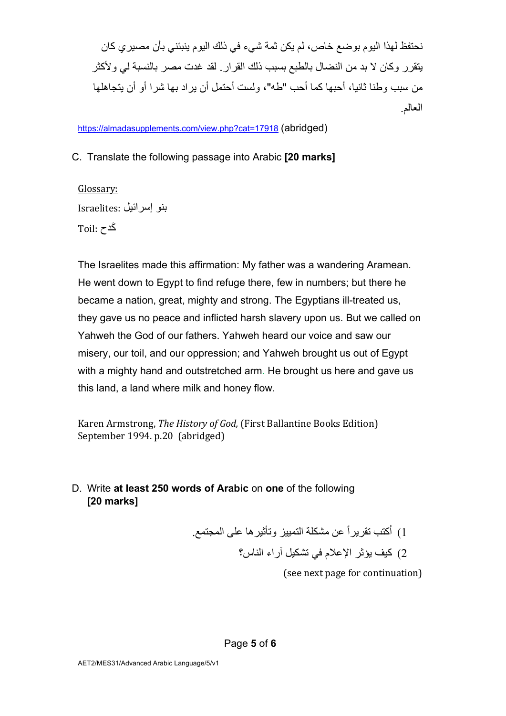نحنفظ لهذا اليو مبو ضع خاص، لم يكن ثمة شيء في ذلك اليو م ينبئني بأن مصير ي كان يتقر ر وكان لا بد من النضال بالطبع بسبب ذلك القرار . لقد غدت مصر بالنسبة لي و لأكثر من سبب و طنا ثانيا، أحبها كما أحب "طه"، ولست أحتمل أن بر اد بها شر ا أو أن يتجاهلها العالم

https://almadasupplements.com/view.php?cat=17918 (abridged)

C. Translate the following passage into Arabic **[20 marks]** 

Glossary: لیئارسإ ونب :Israelites َكدح :Toil

The Israelites made this affirmation: My father was a wandering Aramean. He went down to Egypt to find refuge there, few in numbers; but there he became a nation, great, mighty and strong. The Egyptians ill-treated us, they gave us no peace and inflicted harsh slavery upon us. But we called on Yahweh the God of our fathers. Yahweh heard our voice and saw our misery, our toil, and our oppression; and Yahweh brought us out of Egypt with a mighty hand and outstretched arm. He brought us here and gave us this land, a land where milk and honey flow.

Karen Armstrong, *The History of God*, (First Ballantine Books Edition) September 1994. p.20 (abridged)

# D. Write **at least 250 words of Arabic** on **one** of the following **[20 marks]**

1) أكتب تقريراً عن مشكلة التمييز وتأثير ها على المجتمع. 2) كيف يؤثر الاعلام في تشكيل آراء الناس؟

(see next page for continuation)